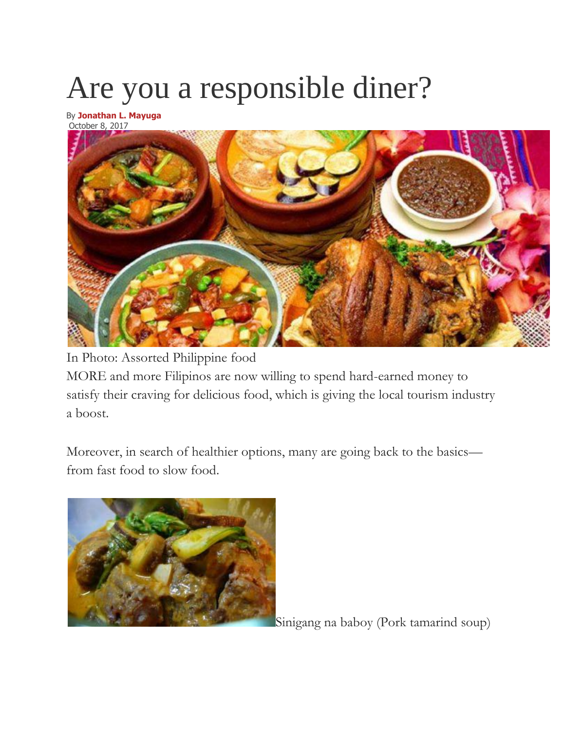# Are you a responsible diner?

By **[Jonathan L. Mayuga](https://businessmirror.com.ph/author/jonathanmayuga/)** October 8, 2017



In Photo: Assorted Philippine food MORE and more Filipinos are now willing to spend hard-earned money to satisfy their craving for delicious food, which is giving the local tourism industry a boost.

Moreover, in search of healthier options, many are going back to the basics from fast food to slow food.



Sinigang na baboy (Pork tamarind soup)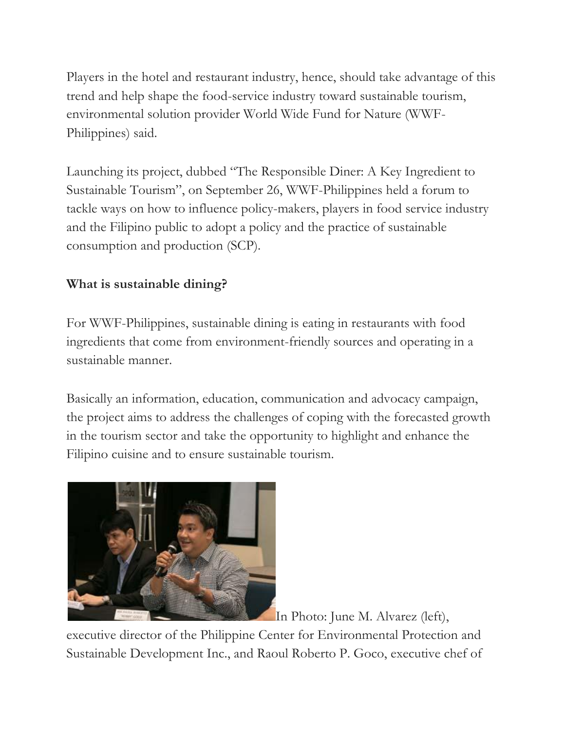Players in the hotel and restaurant industry, hence, should take advantage of this trend and help shape the food-service industry toward sustainable tourism, environmental solution provider World Wide Fund for Nature (WWF-Philippines) said.

Launching its project, dubbed "The Responsible Diner: A Key Ingredient to Sustainable Tourism", on September 26, WWF-Philippines held a forum to tackle ways on how to influence policy-makers, players in food service industry and the Filipino public to adopt a policy and the practice of sustainable consumption and production (SCP).

# **What is sustainable dining?**

For WWF-Philippines, sustainable dining is eating in restaurants with food ingredients that come from environment-friendly sources and operating in a sustainable manner.

Basically an information, education, communication and advocacy campaign, the project aims to address the challenges of coping with the forecasted growth in the tourism sector and take the opportunity to highlight and enhance the Filipino cuisine and to ensure sustainable tourism.



In Photo: June M. Alvarez (left),

executive director of the Philippine Center for Environmental Protection and Sustainable Development Inc., and Raoul Roberto P. Goco, executive chef of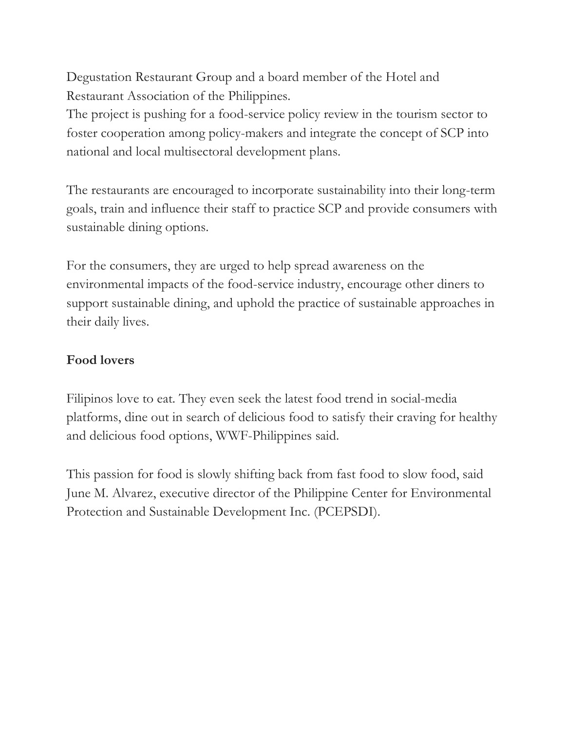Degustation Restaurant Group and a board member of the Hotel and Restaurant Association of the Philippines.

The project is pushing for a food-service policy review in the tourism sector to foster cooperation among policy-makers and integrate the concept of SCP into national and local multisectoral development plans.

The restaurants are encouraged to incorporate sustainability into their long-term goals, train and influence their staff to practice SCP and provide consumers with sustainable dining options.

For the consumers, they are urged to help spread awareness on the environmental impacts of the food-service industry, encourage other diners to support sustainable dining, and uphold the practice of sustainable approaches in their daily lives.

## **Food lovers**

Filipinos love to eat. They even seek the latest food trend in social-media platforms, dine out in search of delicious food to satisfy their craving for healthy and delicious food options, WWF-Philippines said.

This passion for food is slowly shifting back from fast food to slow food, said June M. Alvarez, executive director of the Philippine Center for Environmental Protection and Sustainable Development Inc. (PCEPSDI).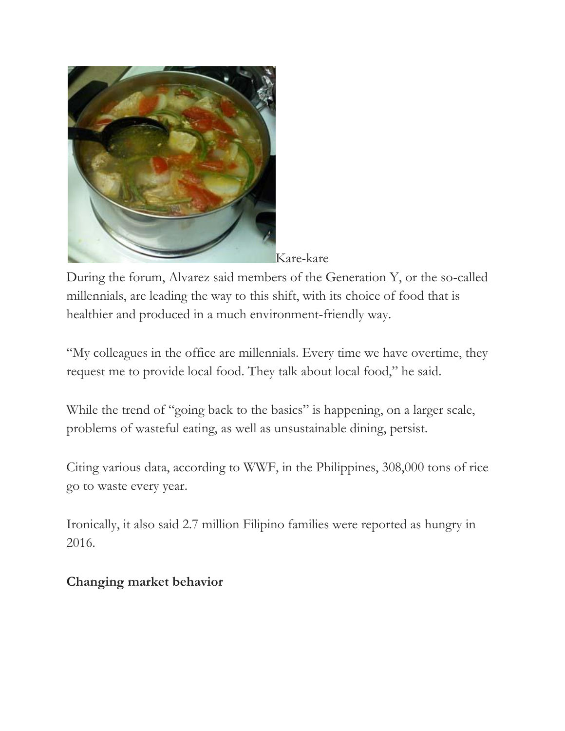

Kare-kare

During the forum, Alvarez said members of the Generation Y, or the so-called millennials, are leading the way to this shift, with its choice of food that is healthier and produced in a much environment-friendly way.

"My colleagues in the office are millennials. Every time we have overtime, they request me to provide local food. They talk about local food," he said.

While the trend of "going back to the basics" is happening, on a larger scale, problems of wasteful eating, as well as unsustainable dining, persist.

Citing various data, according to WWF, in the Philippines, 308,000 tons of rice go to waste every year.

Ironically, it also said 2.7 million Filipino families were reported as hungry in 2016.

# **Changing market behavior**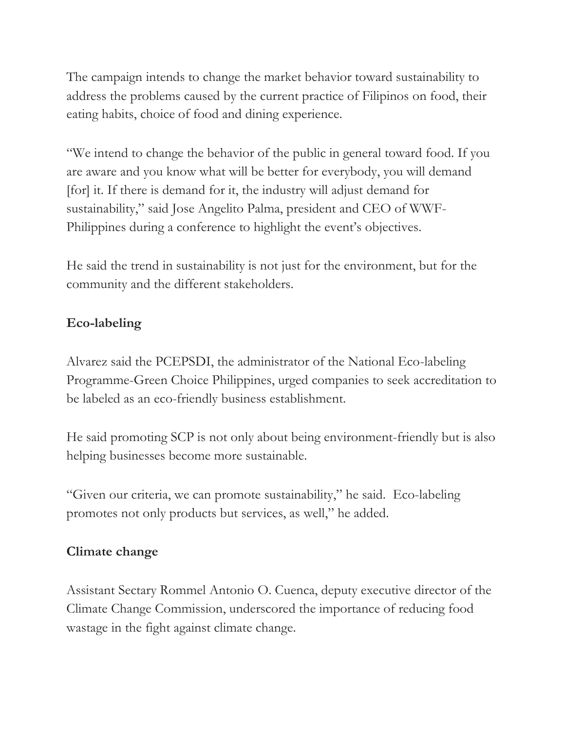The campaign intends to change the market behavior toward sustainability to address the problems caused by the current practice of Filipinos on food, their eating habits, choice of food and dining experience.

"We intend to change the behavior of the public in general toward food. If you are aware and you know what will be better for everybody, you will demand [for] it. If there is demand for it, the industry will adjust demand for sustainability," said Jose Angelito Palma, president and CEO of WWF-Philippines during a conference to highlight the event's objectives.

He said the trend in sustainability is not just for the environment, but for the community and the different stakeholders.

# **Eco-labeling**

Alvarez said the PCEPSDI, the administrator of the National Eco-labeling Programme-Green Choice Philippines, urged companies to seek accreditation to be labeled as an eco-friendly business establishment.

He said promoting SCP is not only about being environment-friendly but is also helping businesses become more sustainable.

"Given our criteria, we can promote sustainability," he said. Eco-labeling promotes not only products but services, as well," he added.

# **Climate change**

Assistant Sectary Rommel Antonio O. Cuenca, deputy executive director of the Climate Change Commission, underscored the importance of reducing food wastage in the fight against climate change.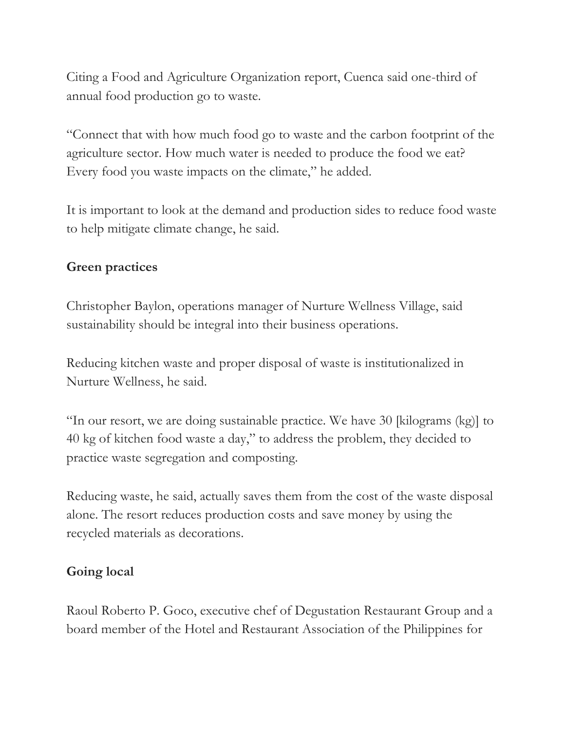Citing a Food and Agriculture Organization report, Cuenca said one-third of annual food production go to waste.

"Connect that with how much food go to waste and the carbon footprint of the agriculture sector. How much water is needed to produce the food we eat? Every food you waste impacts on the climate," he added.

It is important to look at the demand and production sides to reduce food waste to help mitigate climate change, he said.

#### **Green practices**

Christopher Baylon, operations manager of Nurture Wellness Village, said sustainability should be integral into their business operations.

Reducing kitchen waste and proper disposal of waste is institutionalized in Nurture Wellness, he said.

"In our resort, we are doing sustainable practice. We have 30 [kilograms (kg)] to 40 kg of kitchen food waste a day," to address the problem, they decided to practice waste segregation and composting.

Reducing waste, he said, actually saves them from the cost of the waste disposal alone. The resort reduces production costs and save money by using the recycled materials as decorations.

#### **Going local**

Raoul Roberto P. Goco, executive chef of Degustation Restaurant Group and a board member of the Hotel and Restaurant Association of the Philippines for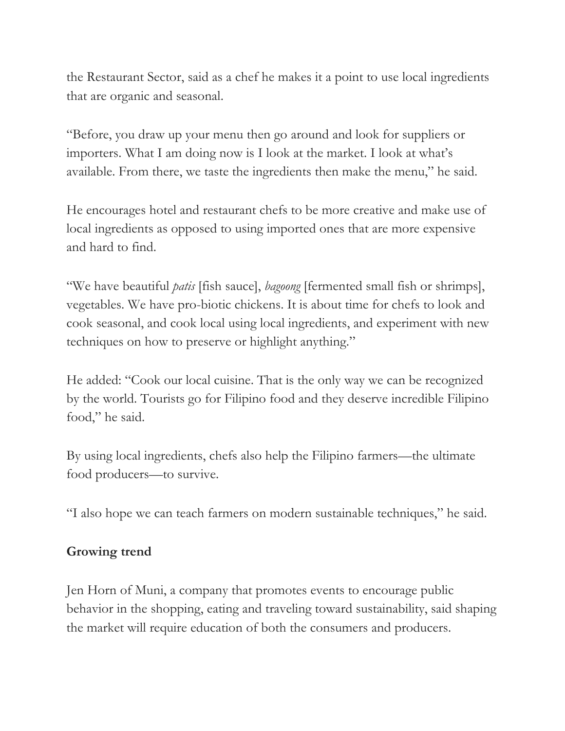the Restaurant Sector, said as a chef he makes it a point to use local ingredients that are organic and seasonal.

"Before, you draw up your menu then go around and look for suppliers or importers. What I am doing now is I look at the market. I look at what's available. From there, we taste the ingredients then make the menu," he said.

He encourages hotel and restaurant chefs to be more creative and make use of local ingredients as opposed to using imported ones that are more expensive and hard to find.

"We have beautiful *patis* [fish sauce], *bagoong* [fermented small fish or shrimps], vegetables. We have pro-biotic chickens. It is about time for chefs to look and cook seasonal, and cook local using local ingredients, and experiment with new techniques on how to preserve or highlight anything."

He added: "Cook our local cuisine. That is the only way we can be recognized by the world. Tourists go for Filipino food and they deserve incredible Filipino food," he said.

By using local ingredients, chefs also help the Filipino farmers—the ultimate food producers—to survive.

"I also hope we can teach farmers on modern sustainable techniques," he said.

## **Growing trend**

Jen Horn of Muni, a company that promotes events to encourage public behavior in the shopping, eating and traveling toward sustainability, said shaping the market will require education of both the consumers and producers.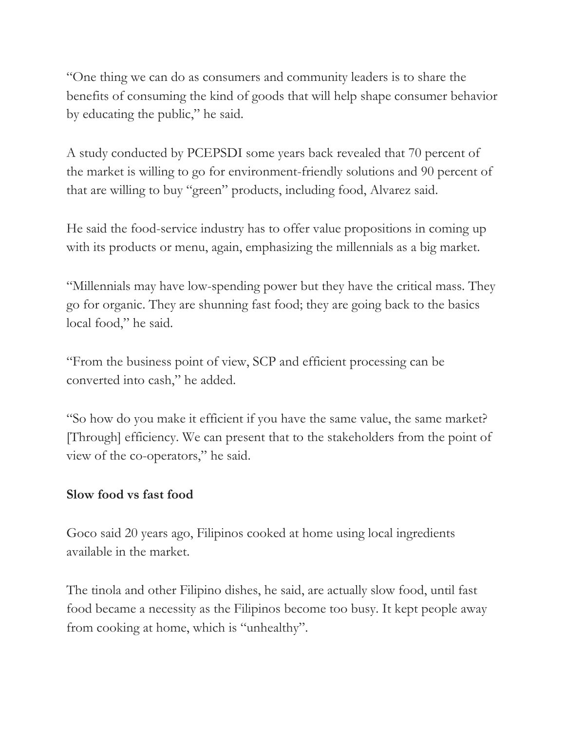"One thing we can do as consumers and community leaders is to share the benefits of consuming the kind of goods that will help shape consumer behavior by educating the public," he said.

A study conducted by PCEPSDI some years back revealed that 70 percent of the market is willing to go for environment-friendly solutions and 90 percent of that are willing to buy "green" products, including food, Alvarez said.

He said the food-service industry has to offer value propositions in coming up with its products or menu, again, emphasizing the millennials as a big market.

"Millennials may have low-spending power but they have the critical mass. They go for organic. They are shunning fast food; they are going back to the basics local food," he said.

"From the business point of view, SCP and efficient processing can be converted into cash," he added.

"So how do you make it efficient if you have the same value, the same market? [Through] efficiency. We can present that to the stakeholders from the point of view of the co-operators," he said.

## **Slow food vs fast food**

Goco said 20 years ago, Filipinos cooked at home using local ingredients available in the market.

The tinola and other Filipino dishes, he said, are actually slow food, until fast food became a necessity as the Filipinos become too busy. It kept people away from cooking at home, which is "unhealthy".